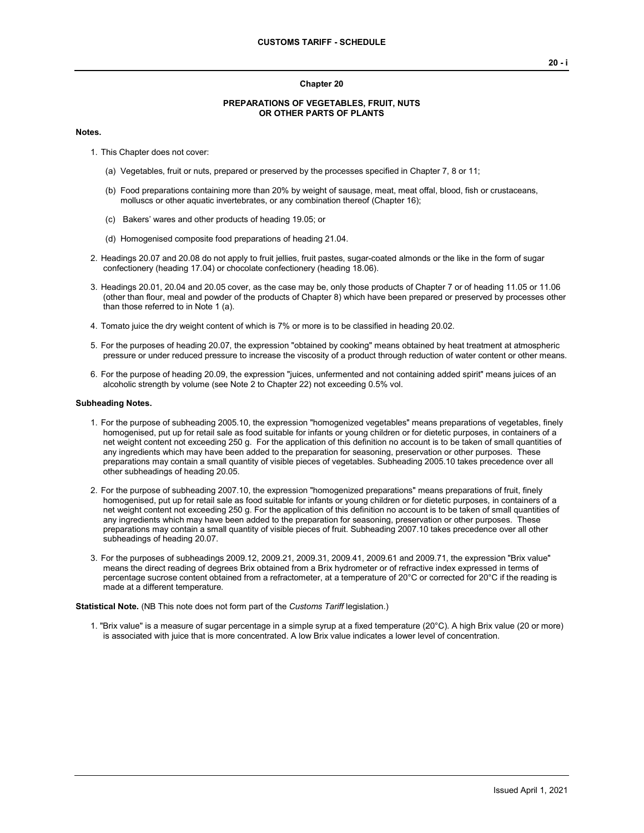#### **Chapter 20**

## **PREPARATIONS OF VEGETABLES, FRUIT, NUTS OR OTHER PARTS OF PLANTS**

#### **Notes.**

- 1. This Chapter does not cover:
	- (a) Vegetables, fruit or nuts, prepared or preserved by the processes specified in Chapter 7, 8 or 11;
	- (b) Food preparations containing more than 20% by weight of sausage, meat, meat offal, blood, fish or crustaceans, molluscs or other aquatic invertebrates, or any combination thereof (Chapter 16);
	- (c) Bakers' wares and other products of heading 19.05; or
	- (d) Homogenised composite food preparations of heading 21.04.
- 2. Headings 20.07 and 20.08 do not apply to fruit jellies, fruit pastes, sugar-coated almonds or the like in the form of sugar confectionery (heading 17.04) or chocolate confectionery (heading 18.06).
- 3. Headings 20.01, 20.04 and 20.05 cover, as the case may be, only those products of Chapter 7 or of heading 11.05 or 11.06 (other than flour, meal and powder of the products of Chapter 8) which have been prepared or preserved by processes other than those referred to in Note 1 (a).
- 4. Tomato juice the dry weight content of which is 7% or more is to be classified in heading 20.02.
- 5. For the purposes of heading 20.07, the expression "obtained by cooking" means obtained by heat treatment at atmospheric pressure or under reduced pressure to increase the viscosity of a product through reduction of water content or other means.
- 6. For the purpose of heading 20.09, the expression "juices, unfermented and not containing added spirit" means juices of an alcoholic strength by volume (see Note 2 to Chapter 22) not exceeding 0.5% vol.

## **Subheading Notes.**

- 1. For the purpose of subheading 2005.10, the expression "homogenized vegetables" means preparations of vegetables, finely homogenised, put up for retail sale as food suitable for infants or young children or for dietetic purposes, in containers of a net weight content not exceeding 250 g. For the application of this definition no account is to be taken of small quantities of any ingredients which may have been added to the preparation for seasoning, preservation or other purposes. These preparations may contain a small quantity of visible pieces of vegetables. Subheading 2005.10 takes precedence over all other subheadings of heading 20.05.
- 2. For the purpose of subheading 2007.10, the expression "homogenized preparations" means preparations of fruit, finely homogenised, put up for retail sale as food suitable for infants or young children or for dietetic purposes, in containers of a net weight content not exceeding 250 g. For the application of this definition no account is to be taken of small quantities of any ingredients which may have been added to the preparation for seasoning, preservation or other purposes. These preparations may contain a small quantity of visible pieces of fruit. Subheading 2007.10 takes precedence over all other subheadings of heading 20.07.
- 3. For the purposes of subheadings 2009.12, 2009.21, 2009.31, 2009.41, 2009.61 and 2009.71, the expression "Brix value" means the direct reading of degrees Brix obtained from a Brix hydrometer or of refractive index expressed in terms of percentage sucrose content obtained from a refractometer, at a temperature of 20°C or corrected for 20°C if the reading is made at a different temperature.

**Statistical Note.** (NB This note does not form part of the *Customs Tariff* legislation.)

1. "Brix value" is a measure of sugar percentage in a simple syrup at a fixed temperature (20°C). A high Brix value (20 or more) is associated with juice that is more concentrated. A low Brix value indicates a lower level of concentration.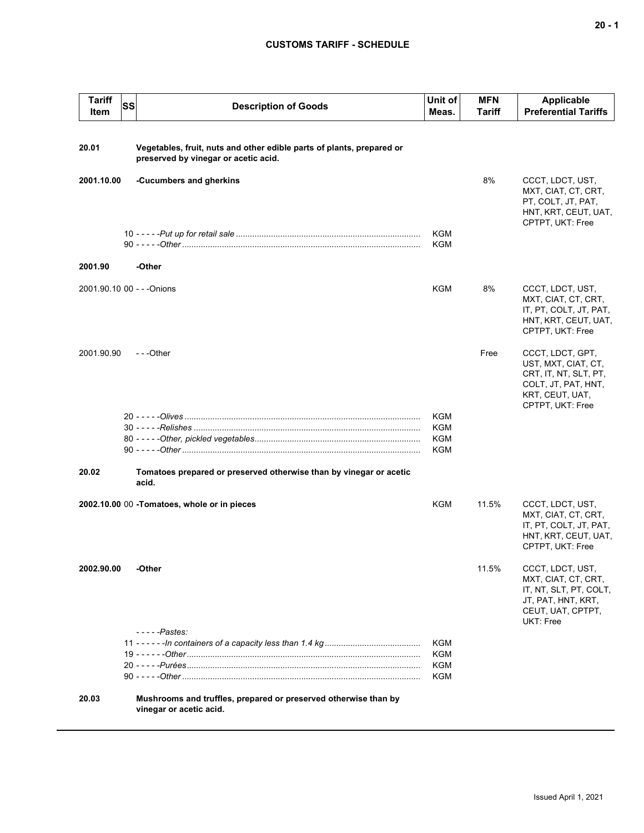## **CUSTOMS TARIFF - SCHEDULE**

| <b>Tariff</b><br>Item | SS | <b>Description of Goods</b>                                                                                   | Unit of<br>Meas.                | <b>MFN</b><br><b>Tariff</b> | <b>Applicable</b><br><b>Preferential Tariffs</b>                                                                               |
|-----------------------|----|---------------------------------------------------------------------------------------------------------------|---------------------------------|-----------------------------|--------------------------------------------------------------------------------------------------------------------------------|
| 20.01                 |    | Vegetables, fruit, nuts and other edible parts of plants, prepared or<br>preserved by vinegar or acetic acid. |                                 |                             |                                                                                                                                |
| 2001.10.00            |    | -Cucumbers and gherkins                                                                                       |                                 | 8%                          | CCCT, LDCT, UST,<br>MXT, CIAT, CT, CRT,<br>PT, COLT, JT, PAT,<br>HNT, KRT, CEUT, UAT,<br>CPTPT, UKT: Free                      |
|                       |    |                                                                                                               | <b>KGM</b><br>KGM               |                             |                                                                                                                                |
| 2001.90               |    | -Other                                                                                                        |                                 |                             |                                                                                                                                |
|                       |    | 2001.90.10 00 - - - Onions                                                                                    | KGM                             | 8%                          | CCCT, LDCT, UST,<br>MXT, CIAT, CT, CRT,<br>IT, PT, COLT, JT, PAT,<br>HNT, KRT, CEUT, UAT,<br>CPTPT, UKT: Free                  |
| 2001.90.90            |    | $- -$ Other                                                                                                   |                                 | Free                        | CCCT, LDCT, GPT,<br>UST, MXT, CIAT, CT,<br>CRT, IT, NT, SLT, PT,<br>COLT, JT, PAT, HNT,<br>KRT, CEUT, UAT,<br>CPTPT, UKT: Free |
|                       |    |                                                                                                               | KGM<br>KGM<br><b>KGM</b><br>KGM |                             |                                                                                                                                |
| 20.02                 |    | Tomatoes prepared or preserved otherwise than by vinegar or acetic<br>acid.                                   |                                 |                             |                                                                                                                                |
|                       |    | 2002.10.00 00 - Tomatoes, whole or in pieces                                                                  | <b>KGM</b>                      | 11.5%                       | CCCT, LDCT, UST,<br>MXT, CIAT, CT, CRT,<br>IT, PT, COLT, JT, PAT,<br>HNT, KRT, CEUT, UAT,<br>CPTPT, UKT: Free                  |
| 2002.90.00            |    | -Other                                                                                                        |                                 | 11.5%                       | CCCT, LDCT, UST,<br>MXT, CIAT, CT, CRT,<br>IT, NT, SLT, PT, COLT,<br>JT, PAT, HNT, KRT,<br>CEUT, UAT, CPTPT,<br>UKT: Free      |
|                       |    | $---Passes:$                                                                                                  | <b>KGM</b><br>KGM<br>KGM<br>KGM |                             |                                                                                                                                |
| 20.03                 |    | Mushrooms and truffles, prepared or preserved otherwise than by<br>vinegar or acetic acid.                    |                                 |                             |                                                                                                                                |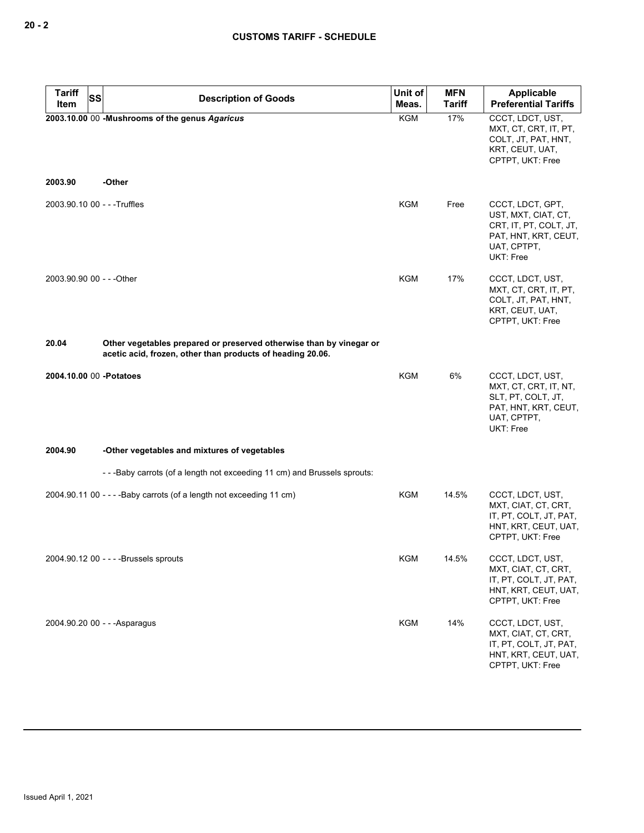| Tariff<br>SS<br>Item         | <b>Description of Goods</b>                                                                                                       | Unit of<br>Meas. | <b>MFN</b><br><b>Tariff</b> | Applicable<br><b>Preferential Tariffs</b>                                                                             |
|------------------------------|-----------------------------------------------------------------------------------------------------------------------------------|------------------|-----------------------------|-----------------------------------------------------------------------------------------------------------------------|
|                              | 2003.10.00 00 -Mushrooms of the genus Agaricus                                                                                    | <b>KGM</b>       | 17%                         | CCCT, LDCT, UST,<br>MXT, CT, CRT, IT, PT,<br>COLT, JT, PAT, HNT,<br>KRT, CEUT, UAT,<br>CPTPT, UKT: Free               |
| 2003.90                      | -Other                                                                                                                            |                  |                             |                                                                                                                       |
| 2003.90.10 00 - - - Truffles |                                                                                                                                   | KGM              | Free                        | CCCT, LDCT, GPT,<br>UST, MXT, CIAT, CT,<br>CRT, IT, PT, COLT, JT,<br>PAT, HNT, KRT, CEUT,<br>UAT, CPTPT,<br>UKT: Free |
| 2003.90.90 00 - - - Other    |                                                                                                                                   | KGM              | 17%                         | CCCT, LDCT, UST,<br>MXT, CT, CRT, IT, PT,<br>COLT, JT, PAT, HNT,<br>KRT, CEUT, UAT,<br>CPTPT, UKT: Free               |
| 20.04                        | Other vegetables prepared or preserved otherwise than by vinegar or<br>acetic acid, frozen, other than products of heading 20.06. |                  |                             |                                                                                                                       |
| 2004.10.00 00 - Potatoes     |                                                                                                                                   | <b>KGM</b>       | 6%                          | CCCT, LDCT, UST,<br>MXT, CT, CRT, IT, NT,<br>SLT, PT, COLT, JT,<br>PAT, HNT, KRT, CEUT,<br>UAT, CPTPT,<br>UKT: Free   |
| 2004.90                      | -Other vegetables and mixtures of vegetables                                                                                      |                  |                             |                                                                                                                       |
|                              | -- - Baby carrots (of a length not exceeding 11 cm) and Brussels sprouts:                                                         |                  |                             |                                                                                                                       |
|                              | 2004.90.11 00 - - - - Baby carrots (of a length not exceeding 11 cm)                                                              | KGM              | 14.5%                       | CCCT, LDCT, UST,<br>MXT, CIAT, CT, CRT,<br>IT, PT, COLT, JT, PAT,<br>HNT, KRT, CEUT, UAT,<br>CPTPT, UKT: Free         |
|                              | 2004.90.12 00 - - - - Brussels sprouts                                                                                            | KGM              | 14.5%                       | CCCT, LDCT, UST,<br>MXT, CIAT, CT, CRT,<br>IT, PT, COLT, JT, PAT,<br>HNT, KRT, CEUT, UAT,<br>CPTPT, UKT: Free         |
|                              | 2004.90.20 00 - - - Asparagus                                                                                                     | <b>KGM</b>       | 14%                         | CCCT, LDCT, UST,<br>MXT, CIAT, CT, CRT,<br>IT, PT, COLT, JT, PAT,<br>HNT, KRT, CEUT, UAT,<br>CPTPT, UKT: Free         |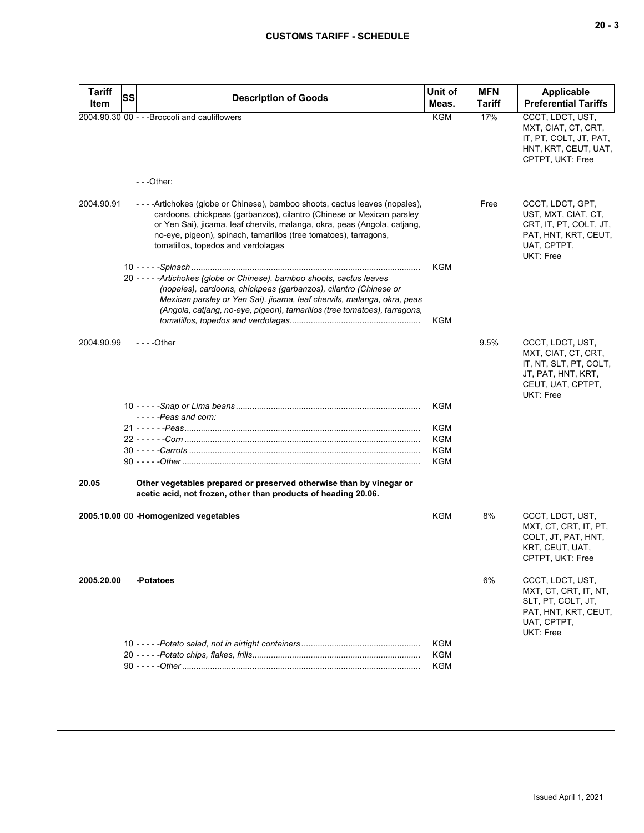| <b>Tariff</b> | SS<br><b>Description of Goods</b>                                                                                                                                                                                                                                                                                                          | Unit of    | <b>MFN</b> | <b>Applicable</b>                                                                                                         |
|---------------|--------------------------------------------------------------------------------------------------------------------------------------------------------------------------------------------------------------------------------------------------------------------------------------------------------------------------------------------|------------|------------|---------------------------------------------------------------------------------------------------------------------------|
| Item          |                                                                                                                                                                                                                                                                                                                                            | Meas.      | Tariff     | <b>Preferential Tariffs</b>                                                                                               |
|               | 2004.90.30 00 - - - Broccoli and cauliflowers                                                                                                                                                                                                                                                                                              | <b>KGM</b> | 17%        | CCCT, LDCT, UST,<br>MXT, CIAT, CT, CRT,<br>IT, PT, COLT, JT, PAT,<br>HNT, KRT, CEUT, UAT,<br>CPTPT, UKT: Free             |
|               | $- -$ Other:                                                                                                                                                                                                                                                                                                                               |            |            |                                                                                                                           |
| 2004.90.91    | ----Artichokes (globe or Chinese), bamboo shoots, cactus leaves (nopales),<br>cardoons, chickpeas (garbanzos), cilantro (Chinese or Mexican parsley<br>or Yen Sai), jicama, leaf chervils, malanga, okra, peas (Angola, catiang,<br>no-eye, pigeon), spinach, tamarillos (tree tomatoes), tarragons,<br>tomatillos, topedos and verdolagas |            | Free       | CCCT, LDCT, GPT,<br>UST, MXT, CIAT, CT,<br>CRT, IT, PT, COLT, JT,<br>PAT, HNT, KRT, CEUT,<br>UAT, CPTPT,<br>UKT: Free     |
|               |                                                                                                                                                                                                                                                                                                                                            | KGM        |            |                                                                                                                           |
|               | 20 - - - - - Artichokes (globe or Chinese), bamboo shoots, cactus leaves<br>(nopales), cardoons, chickpeas (garbanzos), cilantro (Chinese or<br>Mexican parsley or Yen Sai), jicama, leaf chervils, malanga, okra, peas<br>(Angola, catjang, no-eye, pigeon), tamarillos (tree tomatoes), tarragons,                                       |            |            |                                                                                                                           |
|               |                                                                                                                                                                                                                                                                                                                                            | <b>KGM</b> |            |                                                                                                                           |
| 2004.90.99    | $--$ Other                                                                                                                                                                                                                                                                                                                                 |            | 9.5%       | CCCT, LDCT, UST,<br>MXT, CIAT, CT, CRT,<br>IT, NT, SLT, PT, COLT,<br>JT, PAT, HNT, KRT,<br>CEUT, UAT, CPTPT,<br>UKT: Free |
|               |                                                                                                                                                                                                                                                                                                                                            | KGM        |            |                                                                                                                           |
|               | $---$ Peas and corn:                                                                                                                                                                                                                                                                                                                       |            |            |                                                                                                                           |
|               |                                                                                                                                                                                                                                                                                                                                            | <b>KGM</b> |            |                                                                                                                           |
|               |                                                                                                                                                                                                                                                                                                                                            | KGM        |            |                                                                                                                           |
|               |                                                                                                                                                                                                                                                                                                                                            | KGM        |            |                                                                                                                           |
|               |                                                                                                                                                                                                                                                                                                                                            | KGM        |            |                                                                                                                           |
| 20.05         | Other vegetables prepared or preserved otherwise than by vinegar or<br>acetic acid, not frozen, other than products of heading 20.06.                                                                                                                                                                                                      |            |            |                                                                                                                           |
|               | 2005.10.00 00 -Homogenized vegetables                                                                                                                                                                                                                                                                                                      | KGM        | 8%         | CCCT, LDCT, UST,<br>MXT, CT, CRT, IT, PT,<br>COLT, JT, PAT, HNT,<br>KRT, CEUT, UAT,<br>CPTPT, UKT: Free                   |
| 2005.20.00    | -Potatoes                                                                                                                                                                                                                                                                                                                                  |            | 6%         | CCCT, LDCT, UST,<br>MXT, CT, CRT, IT, NT,<br>SLT, PT, COLT, JT,<br>PAT, HNT, KRT, CEUT,<br>UAT, CPTPT,<br>UKT: Free       |
|               |                                                                                                                                                                                                                                                                                                                                            | KGM        |            |                                                                                                                           |
|               |                                                                                                                                                                                                                                                                                                                                            | KGM        |            |                                                                                                                           |
|               |                                                                                                                                                                                                                                                                                                                                            | KGM        |            |                                                                                                                           |
|               |                                                                                                                                                                                                                                                                                                                                            |            |            |                                                                                                                           |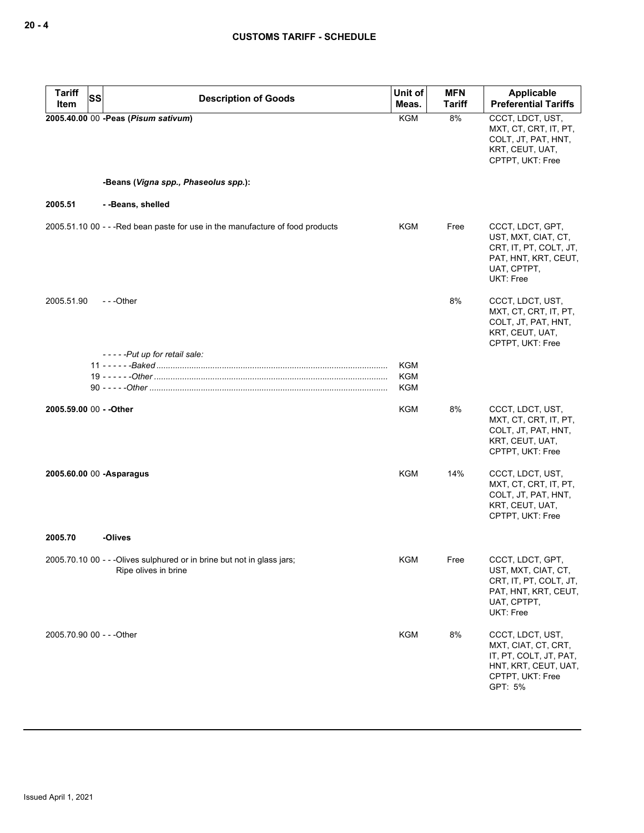| <b>Tariff</b>             | <b>SS</b> | <b>Description of Goods</b>                                                                     | Unit of           | <b>MFN</b>    | Applicable                                                                                                               |
|---------------------------|-----------|-------------------------------------------------------------------------------------------------|-------------------|---------------|--------------------------------------------------------------------------------------------------------------------------|
| Item                      |           |                                                                                                 | Meas.             | <b>Tariff</b> | <b>Preferential Tariffs</b>                                                                                              |
|                           |           | 2005.40.00 00 - Peas (Pisum sativum)                                                            | <b>KGM</b>        | 8%            | CCCT, LDCT, UST,<br>MXT, CT, CRT, IT, PT,<br>COLT, JT, PAT, HNT,<br>KRT, CEUT, UAT,<br>CPTPT, UKT: Free                  |
|                           |           | -Beans (Vigna spp., Phaseolus spp.):                                                            |                   |               |                                                                                                                          |
| 2005.51                   |           | --Beans, shelled                                                                                |                   |               |                                                                                                                          |
|                           |           | 2005.51.10 00 - - - Red bean paste for use in the manufacture of food products                  | KGM               | Free          | CCCT, LDCT, GPT,<br>UST, MXT, CIAT, CT,<br>CRT, IT, PT, COLT, JT,<br>PAT, HNT, KRT, CEUT,<br>UAT, CPTPT,<br>UKT: Free    |
| 2005.51.90                |           | $-$ - -Other                                                                                    |                   | 8%            | CCCT, LDCT, UST,<br>MXT, CT, CRT, IT, PT,<br>COLT, JT, PAT, HNT,<br>KRT, CEUT, UAT,<br>CPTPT, UKT: Free                  |
|                           |           | -----Put up for retail sale:                                                                    |                   |               |                                                                                                                          |
|                           |           |                                                                                                 | KGM<br><b>KGM</b> |               |                                                                                                                          |
|                           |           |                                                                                                 | KGM               |               |                                                                                                                          |
| 2005.59.00 00 - - Other   |           |                                                                                                 | KGM               | 8%            | CCCT, LDCT, UST,<br>MXT, CT, CRT, IT, PT,<br>COLT, JT, PAT, HNT,<br>KRT, CEUT, UAT,<br>CPTPT, UKT: Free                  |
|                           |           | 2005.60.00 00 -Asparagus                                                                        | KGM               | 14%           | CCCT, LDCT, UST,<br>MXT, CT, CRT, IT, PT,<br>COLT, JT, PAT, HNT,<br>KRT, CEUT, UAT,<br>CPTPT, UKT: Free                  |
| 2005.70                   |           | -Olives                                                                                         |                   |               |                                                                                                                          |
|                           |           | 2005.70.10 00 - - - Olives sulphured or in brine but not in glass jars;<br>Ripe olives in brine | KGM               | Free          | CCCT, LDCT, GPT,<br>UST, MXT, CIAT, CT,<br>CRT, IT, PT, COLT, JT,<br>PAT, HNT, KRT, CEUT,<br>UAT, CPTPT,<br>UKT: Free    |
| 2005.70.90 00 - - - Other |           |                                                                                                 | <b>KGM</b>        | 8%            | CCCT, LDCT, UST,<br>MXT, CIAT, CT, CRT,<br>IT, PT, COLT, JT, PAT,<br>HNT, KRT, CEUT, UAT,<br>CPTPT, UKT: Free<br>GPT: 5% |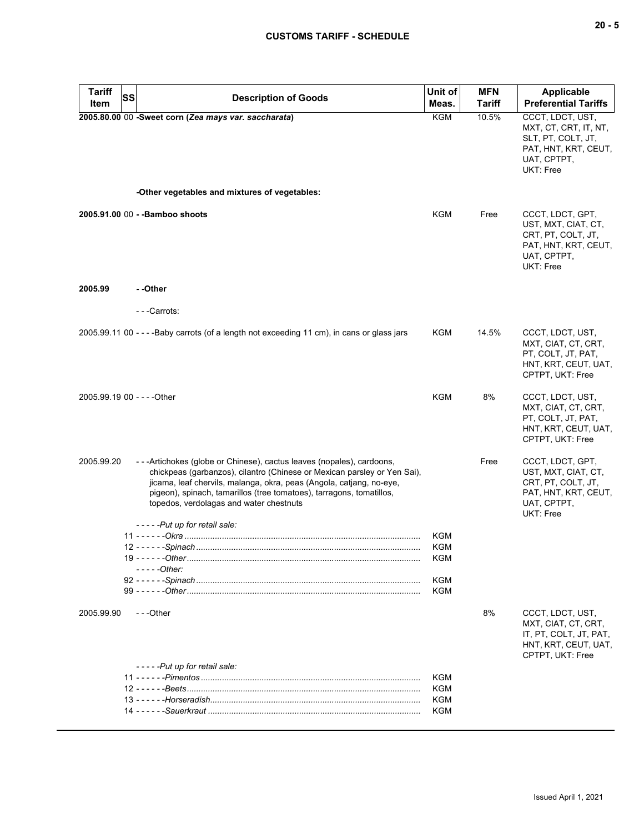| Tariff<br>Item              | <b>SS</b> | <b>Description of Goods</b>                                                                                                                                                                                                                                                                                                                    | Unit of<br>Meas. | <b>MFN</b><br><b>Tariff</b> | <b>Applicable</b><br><b>Preferential Tariffs</b>                                                                    |
|-----------------------------|-----------|------------------------------------------------------------------------------------------------------------------------------------------------------------------------------------------------------------------------------------------------------------------------------------------------------------------------------------------------|------------------|-----------------------------|---------------------------------------------------------------------------------------------------------------------|
|                             |           | 2005.80.00 00 -Sweet corn (Zea mays var. saccharata)<br>-Other vegetables and mixtures of vegetables:                                                                                                                                                                                                                                          | <b>KGM</b>       | 10.5%                       | CCCT, LDCT, UST,<br>MXT, CT, CRT, IT, NT,<br>SLT, PT, COLT, JT,<br>PAT, HNT, KRT, CEUT,<br>UAT, CPTPT,<br>UKT: Free |
|                             |           |                                                                                                                                                                                                                                                                                                                                                |                  |                             |                                                                                                                     |
|                             |           | 2005.91.00 00 - - Bamboo shoots                                                                                                                                                                                                                                                                                                                | KGM              | Free                        | CCCT, LDCT, GPT,<br>UST, MXT, CIAT, CT,<br>CRT, PT, COLT, JT,<br>PAT, HNT, KRT, CEUT,<br>UAT, CPTPT,<br>UKT: Free   |
| 2005.99                     |           | - -Other                                                                                                                                                                                                                                                                                                                                       |                  |                             |                                                                                                                     |
|                             |           | ---Carrots:                                                                                                                                                                                                                                                                                                                                    |                  |                             |                                                                                                                     |
|                             |           | 2005.99.11 00 - - - - Baby carrots (of a length not exceeding 11 cm), in cans or glass jars                                                                                                                                                                                                                                                    | KGM              | 14.5%                       | CCCT, LDCT, UST,<br>MXT, CIAT, CT, CRT,<br>PT, COLT, JT, PAT,<br>HNT, KRT, CEUT, UAT,<br>CPTPT, UKT: Free           |
| 2005.99.19 00 - - - - Other |           |                                                                                                                                                                                                                                                                                                                                                | <b>KGM</b>       | 8%                          | CCCT, LDCT, UST,<br>MXT, CIAT, CT, CRT,<br>PT, COLT, JT, PAT,<br>HNT, KRT, CEUT, UAT,<br>CPTPT, UKT: Free           |
| 2005.99.20                  |           | - - - Artichokes (globe or Chinese), cactus leaves (nopales), cardoons,<br>chickpeas (garbanzos), cilantro (Chinese or Mexican parsley or Yen Sai),<br>jicama, leaf chervils, malanga, okra, peas (Angola, catjang, no-eye,<br>pigeon), spinach, tamarillos (tree tomatoes), tarragons, tomatillos,<br>topedos, verdolagas and water chestnuts |                  | Free                        | CCCT, LDCT, GPT,<br>UST, MXT, CIAT, CT,<br>CRT, PT, COLT, JT,<br>PAT, HNT, KRT, CEUT,<br>UAT, CPTPT,<br>UKT: Free   |
|                             |           | -----Put up for retail sale:                                                                                                                                                                                                                                                                                                                   |                  |                             |                                                                                                                     |
|                             |           |                                                                                                                                                                                                                                                                                                                                                | KGM<br>KGM       |                             |                                                                                                                     |
|                             |           |                                                                                                                                                                                                                                                                                                                                                | KGM              |                             |                                                                                                                     |
|                             |           | - - - - -Other:                                                                                                                                                                                                                                                                                                                                |                  |                             |                                                                                                                     |
|                             |           |                                                                                                                                                                                                                                                                                                                                                | <b>KGM</b>       |                             |                                                                                                                     |
|                             |           |                                                                                                                                                                                                                                                                                                                                                | KGM              |                             |                                                                                                                     |
| 2005.99.90                  |           | ---Other                                                                                                                                                                                                                                                                                                                                       |                  | 8%                          | CCCT, LDCT, UST,<br>MXT, CIAT, CT, CRT,<br>IT, PT, COLT, JT, PAT,<br>HNT, KRT, CEUT, UAT,<br>CPTPT, UKT: Free       |
|                             |           | -----Put up for retail sale:                                                                                                                                                                                                                                                                                                                   |                  |                             |                                                                                                                     |
|                             |           |                                                                                                                                                                                                                                                                                                                                                | KGM              |                             |                                                                                                                     |
|                             |           |                                                                                                                                                                                                                                                                                                                                                | KGM<br>KGM       |                             |                                                                                                                     |
|                             |           |                                                                                                                                                                                                                                                                                                                                                | KGM              |                             |                                                                                                                     |
|                             |           |                                                                                                                                                                                                                                                                                                                                                |                  |                             |                                                                                                                     |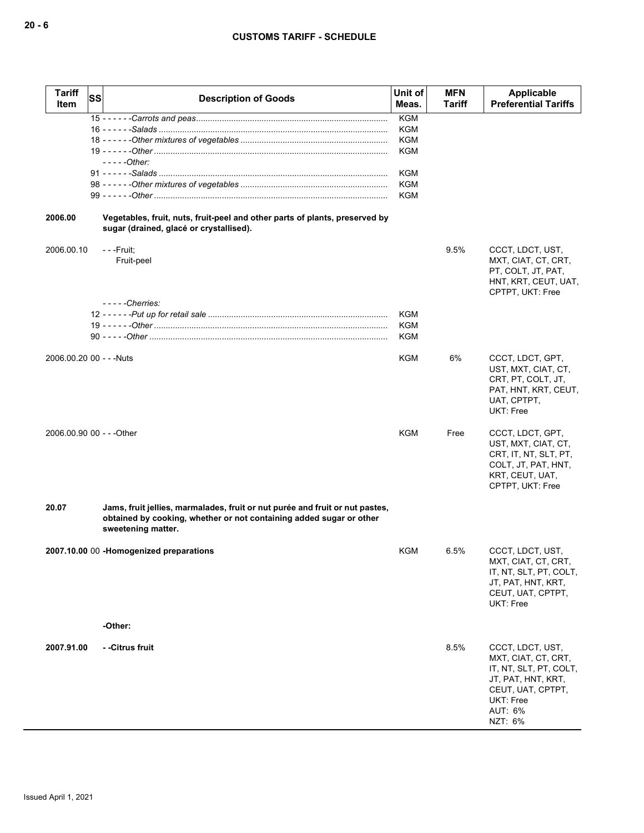| <b>Tariff</b><br><b>Item</b> | <b>SS</b> | <b>Description of Goods</b>                                                                                                                                               | Unit of<br>Meas.         | <b>MFN</b><br>Tariff | Applicable<br><b>Preferential Tariffs</b>                                                                                                       |
|------------------------------|-----------|---------------------------------------------------------------------------------------------------------------------------------------------------------------------------|--------------------------|----------------------|-------------------------------------------------------------------------------------------------------------------------------------------------|
|                              |           |                                                                                                                                                                           | <b>KGM</b>               |                      |                                                                                                                                                 |
|                              |           |                                                                                                                                                                           | KGM                      |                      |                                                                                                                                                 |
|                              |           |                                                                                                                                                                           | KGM<br>KGM               |                      |                                                                                                                                                 |
|                              |           | $---Other:$                                                                                                                                                               |                          |                      |                                                                                                                                                 |
|                              |           |                                                                                                                                                                           | <b>KGM</b>               |                      |                                                                                                                                                 |
|                              |           |                                                                                                                                                                           | KGM                      |                      |                                                                                                                                                 |
|                              |           |                                                                                                                                                                           | KGM                      |                      |                                                                                                                                                 |
| 2006.00                      |           | Vegetables, fruit, nuts, fruit-peel and other parts of plants, preserved by<br>sugar (drained, glacé or crystallised).                                                    |                          |                      |                                                                                                                                                 |
| 2006.00.10                   |           | - - -Fruit;<br>Fruit-peel                                                                                                                                                 |                          | 9.5%                 | CCCT, LDCT, UST,<br>MXT, CIAT, CT, CRT,<br>PT, COLT, JT, PAT,<br>HNT, KRT, CEUT, UAT,<br>CPTPT, UKT: Free                                       |
|                              |           | $---$ Cherries:                                                                                                                                                           |                          |                      |                                                                                                                                                 |
|                              |           |                                                                                                                                                                           | <b>KGM</b><br><b>KGM</b> |                      |                                                                                                                                                 |
|                              |           |                                                                                                                                                                           | KGM                      |                      |                                                                                                                                                 |
|                              |           |                                                                                                                                                                           |                          |                      |                                                                                                                                                 |
| 2006.00.20 00 - - - Nuts     |           |                                                                                                                                                                           | KGM                      | 6%                   | CCCT, LDCT, GPT,<br>UST, MXT, CIAT, CT,<br>CRT, PT, COLT, JT,<br>PAT, HNT, KRT, CEUT,<br>UAT, CPTPT,<br><b>UKT: Free</b>                        |
| 2006.00.90 00 - - - Other    |           |                                                                                                                                                                           | KGM                      | Free                 | CCCT, LDCT, GPT,<br>UST, MXT, CIAT, CT,<br>CRT, IT, NT, SLT, PT,<br>COLT, JT, PAT, HNT,<br>KRT, CEUT, UAT,<br>CPTPT, UKT: Free                  |
| 20.07                        |           | Jams, fruit jellies, marmalades, fruit or nut purée and fruit or nut pastes,<br>obtained by cooking, whether or not containing added sugar or other<br>sweetening matter. |                          |                      |                                                                                                                                                 |
|                              |           | 2007.10.00 00 -Homogenized preparations                                                                                                                                   | KGM                      | 6.5%                 | CCCT, LDCT, UST,<br>MXT, CIAT, CT, CRT,<br>IT, NT, SLT, PT, COLT,<br>JT, PAT, HNT, KRT,<br>CEUT, UAT, CPTPT,<br>UKT: Free                       |
|                              |           | -Other:                                                                                                                                                                   |                          |                      |                                                                                                                                                 |
| 2007.91.00                   |           | - -Citrus fruit                                                                                                                                                           |                          | 8.5%                 | CCCT, LDCT, UST,<br>MXT, CIAT, CT, CRT,<br>IT, NT, SLT, PT, COLT,<br>JT, PAT, HNT, KRT,<br>CEUT, UAT, CPTPT,<br>UKT: Free<br>AUT: 6%<br>NZT: 6% |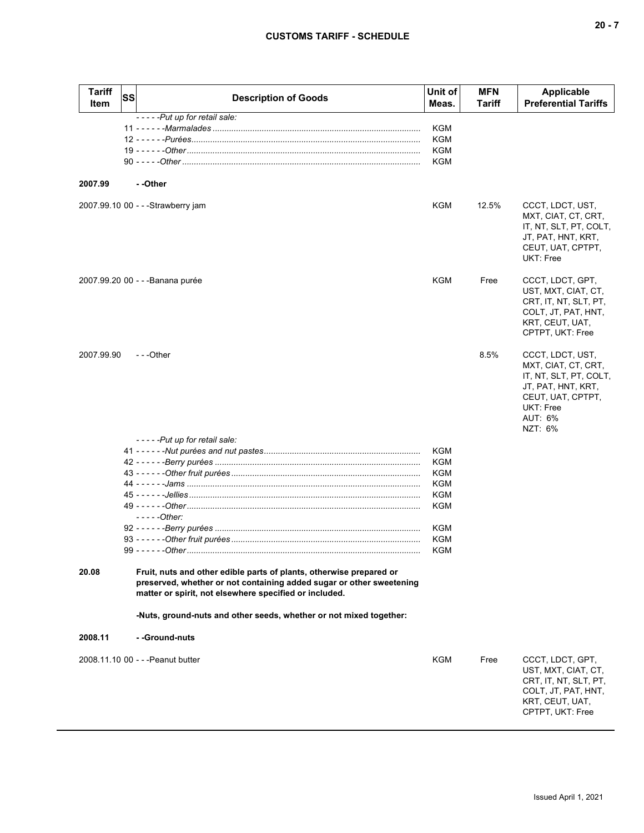| <b>Tariff</b><br>Item | <b>SS</b> | <b>Description of Goods</b>                                                                                                                                                                           | Unit of<br>Meas.  | <b>MFN</b><br><b>Tariff</b> | Applicable<br><b>Preferential Tariffs</b>                                                                                                       |
|-----------------------|-----------|-------------------------------------------------------------------------------------------------------------------------------------------------------------------------------------------------------|-------------------|-----------------------------|-------------------------------------------------------------------------------------------------------------------------------------------------|
|                       |           | -----Put up for retail sale:                                                                                                                                                                          |                   |                             |                                                                                                                                                 |
|                       |           |                                                                                                                                                                                                       | KGM               |                             |                                                                                                                                                 |
|                       |           |                                                                                                                                                                                                       | KGM               |                             |                                                                                                                                                 |
|                       |           |                                                                                                                                                                                                       | <b>KGM</b>        |                             |                                                                                                                                                 |
|                       |           |                                                                                                                                                                                                       | <b>KGM</b>        |                             |                                                                                                                                                 |
| 2007.99               |           | - -Other                                                                                                                                                                                              |                   |                             |                                                                                                                                                 |
|                       |           | 2007.99.10 00 - - - Strawberry jam                                                                                                                                                                    | KGM               | 12.5%                       | CCCT, LDCT, UST,<br>MXT, CIAT, CT, CRT,<br>IT, NT, SLT, PT, COLT,<br>JT, PAT, HNT, KRT,<br>CEUT, UAT, CPTPT,<br>UKT: Free                       |
|                       |           | 2007.99.20 00 - - - Banana purée                                                                                                                                                                      | KGM               | Free                        | CCCT, LDCT, GPT,<br>UST, MXT, CIAT, CT,<br>CRT, IT, NT, SLT, PT,<br>COLT, JT, PAT, HNT,<br>KRT, CEUT, UAT,<br>CPTPT, UKT: Free                  |
| 2007.99.90            |           | ---Other                                                                                                                                                                                              |                   | 8.5%                        | CCCT, LDCT, UST,<br>MXT, CIAT, CT, CRT,<br>IT, NT, SLT, PT, COLT,<br>JT, PAT, HNT, KRT,<br>CEUT, UAT, CPTPT,<br>UKT: Free<br>AUT: 6%<br>NZT: 6% |
|                       |           | -----Put up for retail sale:                                                                                                                                                                          |                   |                             |                                                                                                                                                 |
|                       |           |                                                                                                                                                                                                       | KGM               |                             |                                                                                                                                                 |
|                       |           |                                                                                                                                                                                                       | <b>KGM</b>        |                             |                                                                                                                                                 |
|                       |           |                                                                                                                                                                                                       | KGM               |                             |                                                                                                                                                 |
|                       |           |                                                                                                                                                                                                       | KGM               |                             |                                                                                                                                                 |
|                       |           |                                                                                                                                                                                                       | <b>KGM</b>        |                             |                                                                                                                                                 |
|                       |           |                                                                                                                                                                                                       | KGM               |                             |                                                                                                                                                 |
|                       |           | - - - - - Other:                                                                                                                                                                                      |                   |                             |                                                                                                                                                 |
|                       |           |                                                                                                                                                                                                       | KGM               |                             |                                                                                                                                                 |
|                       |           | $99 - - - - - Other$                                                                                                                                                                                  | <b>KGM</b><br>KGM |                             |                                                                                                                                                 |
| 20.08                 |           | Fruit, nuts and other edible parts of plants, otherwise prepared or<br>preserved, whether or not containing added sugar or other sweetening<br>matter or spirit, not elsewhere specified or included. |                   |                             |                                                                                                                                                 |
|                       |           | -Nuts, ground-nuts and other seeds, whether or not mixed together:                                                                                                                                    |                   |                             |                                                                                                                                                 |
| 2008.11               |           | - -Ground-nuts                                                                                                                                                                                        |                   |                             |                                                                                                                                                 |
|                       |           | 2008.11.10 00 - - - Peanut butter                                                                                                                                                                     | KGM               | Free                        | CCCT, LDCT, GPT,<br>UST, MXT, CIAT, CT,<br>CRT, IT, NT, SLT, PT,<br>COLT, JT, PAT, HNT,<br>KRT, CEUT, UAT,<br>CPTPT, UKT: Free                  |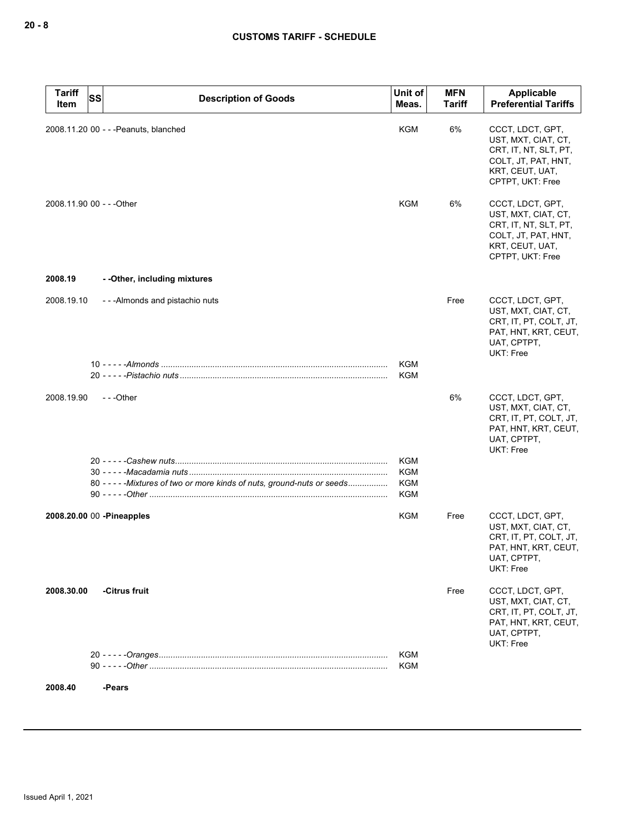| <b>Tariff</b><br>Item | <b>SS</b><br><b>Description of Goods</b>                             | Unit of<br>Meas.  | <b>MFN</b><br>Tariff | Applicable<br><b>Preferential Tariffs</b>                                                                                      |
|-----------------------|----------------------------------------------------------------------|-------------------|----------------------|--------------------------------------------------------------------------------------------------------------------------------|
|                       | 2008.11.20 00 - - - Peanuts, blanched                                | <b>KGM</b>        | 6%                   | CCCT, LDCT, GPT,<br>UST, MXT, CIAT, CT,<br>CRT, IT, NT, SLT, PT,<br>COLT, JT, PAT, HNT,<br>KRT, CEUT, UAT,<br>CPTPT, UKT: Free |
|                       | 2008.11.90 00 - - - Other                                            | KGM               | 6%                   | CCCT, LDCT, GPT,<br>UST, MXT, CIAT, CT,<br>CRT, IT, NT, SLT, PT,<br>COLT, JT, PAT, HNT,<br>KRT, CEUT, UAT,<br>CPTPT, UKT: Free |
| 2008.19               | - - Other, including mixtures                                        |                   |                      |                                                                                                                                |
| 2008.19.10            | ---Almonds and pistachio nuts                                        |                   | Free                 | CCCT, LDCT, GPT,<br>UST, MXT, CIAT, CT,<br>CRT, IT, PT, COLT, JT,<br>PAT, HNT, KRT, CEUT,<br>UAT, CPTPT,<br><b>UKT: Free</b>   |
|                       |                                                                      | <b>KGM</b><br>KGM |                      |                                                                                                                                |
|                       |                                                                      |                   |                      |                                                                                                                                |
| 2008.19.90            | ---Other                                                             |                   | 6%                   | CCCT, LDCT, GPT,<br>UST, MXT, CIAT, CT,<br>CRT, IT, PT, COLT, JT,<br>PAT, HNT, KRT, CEUT,<br>UAT, CPTPT,<br>UKT: Free          |
|                       |                                                                      | KGM               |                      |                                                                                                                                |
|                       |                                                                      | <b>KGM</b>        |                      |                                                                                                                                |
|                       | 80 ----- Mixtures of two or more kinds of nuts, ground-nuts or seeds | KGM<br><b>KGM</b> |                      |                                                                                                                                |
|                       | 2008.20.00 00 - Pineapples                                           | KGM               | Free                 | CCCT, LDCT, GPT,<br>UST, MXT, CIAT, CT,<br>CRT, IT, PT, COLT, JT,<br>PAT, HNT, KRT, CEUT,<br>UAT, CPTPT,<br>UKT: Free          |
| 2008.30.00            | -Citrus fruit                                                        |                   | Free                 | CCCT, LDCT, GPT,<br>UST, MXT, CIAT, CT,<br>CRT, IT, PT, COLT, JT,<br>PAT, HNT, KRT, CEUT,<br>UAT, CPTPT,<br><b>UKT: Free</b>   |
|                       |                                                                      | KGM<br><b>KGM</b> |                      |                                                                                                                                |
|                       |                                                                      |                   |                      |                                                                                                                                |
| 2008.40               | -Pears                                                               |                   |                      |                                                                                                                                |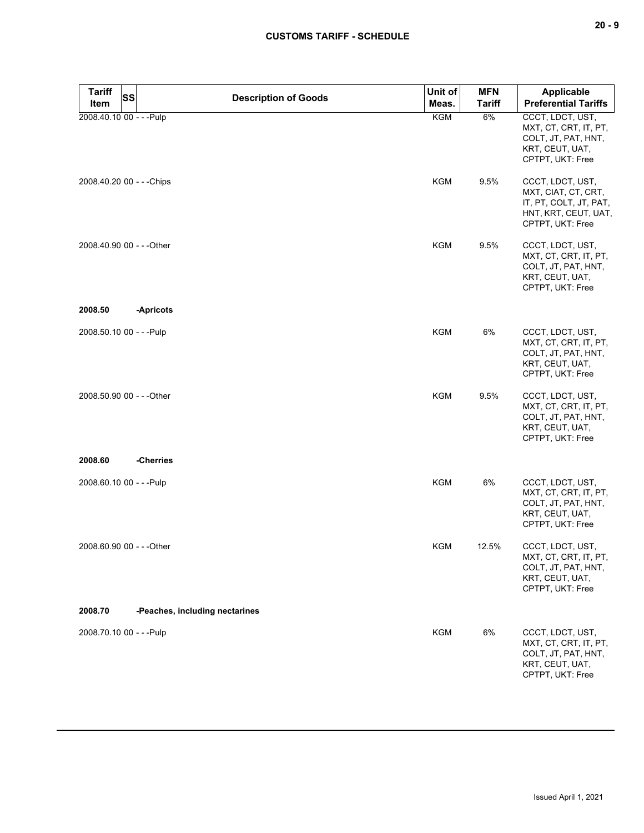| × | ۰.<br>× |
|---|---------|
|---|---------|

| <b>Tariff</b><br><b>SS</b> | <b>Description of Goods</b>    | Unit of    | <b>MFN</b>    | <b>Applicable</b>                                                                                             |
|----------------------------|--------------------------------|------------|---------------|---------------------------------------------------------------------------------------------------------------|
| Item                       |                                | Meas.      | <b>Tariff</b> | <b>Preferential Tariffs</b>                                                                                   |
| 2008.40.10 00 - - - Pulp   |                                | KGM        | 6%            | CCCT, LDCT, UST,<br>MXT, CT, CRT, IT, PT,<br>COLT, JT, PAT, HNT,<br>KRT, CEUT, UAT,<br>CPTPT, UKT: Free       |
| 2008.40.20 00 - - - Chips  |                                | <b>KGM</b> | 9.5%          | CCCT, LDCT, UST,<br>MXT, CIAT, CT, CRT,<br>IT, PT, COLT, JT, PAT,<br>HNT, KRT, CEUT, UAT,<br>CPTPT, UKT: Free |
| 2008.40.90 00 - - - Other  |                                | KGM        | 9.5%          | CCCT, LDCT, UST,<br>MXT, CT, CRT, IT, PT,<br>COLT, JT, PAT, HNT,<br>KRT, CEUT, UAT,<br>CPTPT, UKT: Free       |
| 2008.50                    | -Apricots                      |            |               |                                                                                                               |
| 2008.50.10 00 - - - Pulp   |                                | <b>KGM</b> | 6%            | CCCT, LDCT, UST,<br>MXT, CT, CRT, IT, PT,<br>COLT, JT, PAT, HNT,<br>KRT, CEUT, UAT,<br>CPTPT, UKT: Free       |
| 2008.50.90 00 - - - Other  |                                | <b>KGM</b> | 9.5%          | CCCT, LDCT, UST,<br>MXT, CT, CRT, IT, PT,<br>COLT, JT, PAT, HNT,<br>KRT, CEUT, UAT,<br>CPTPT, UKT: Free       |
| 2008.60                    | -Cherries                      |            |               |                                                                                                               |
| 2008.60.10 00 - - - Pulp   |                                | <b>KGM</b> | 6%            | CCCT, LDCT, UST,<br>MXT, CT, CRT, IT, PT,<br>COLT, JT, PAT, HNT,<br>KRT, CEUT, UAT,<br>CPTPT, UKT: Free       |
| 2008.60.90 00 - - - Other  |                                | <b>KGM</b> | 12.5%         | CCCT, LDCT, UST,<br>MXT, CT, CRT, IT, PT,<br>COLT, JT, PAT, HNT,<br>KRT, CEUT, UAT,<br>CPTPT, UKT: Free       |
| 2008.70                    | -Peaches, including nectarines |            |               |                                                                                                               |
| 2008.70.10 00 - - - Pulp   |                                | <b>KGM</b> | 6%            | CCCT, LDCT, UST,<br>MXT, CT, CRT, IT, PT,<br>COLT, JT, PAT, HNT,<br>KRT, CEUT, UAT,<br>CPTPT, UKT: Free       |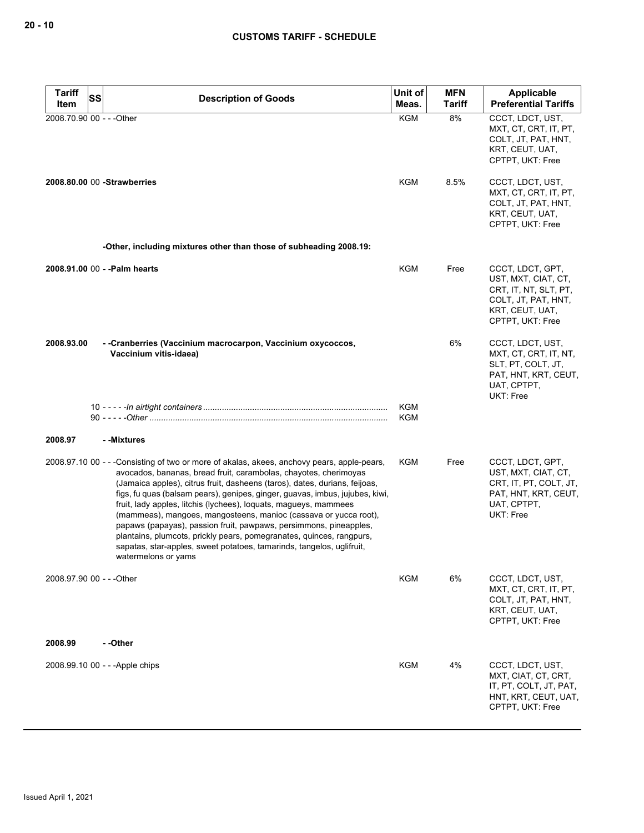| <b>Tariff</b><br>SS       | <b>Description of Goods</b>                                                                                                                                                                                                                                                                                                                                                                                                                                                                                                                                                                                                                                                                                       | Unit of                  | <b>MFN</b>    | Applicable                                                                                                                     |
|---------------------------|-------------------------------------------------------------------------------------------------------------------------------------------------------------------------------------------------------------------------------------------------------------------------------------------------------------------------------------------------------------------------------------------------------------------------------------------------------------------------------------------------------------------------------------------------------------------------------------------------------------------------------------------------------------------------------------------------------------------|--------------------------|---------------|--------------------------------------------------------------------------------------------------------------------------------|
| Item                      |                                                                                                                                                                                                                                                                                                                                                                                                                                                                                                                                                                                                                                                                                                                   | Meas.                    | <b>Tariff</b> | <b>Preferential Tariffs</b>                                                                                                    |
| 2008.70.90 00 - - - Other |                                                                                                                                                                                                                                                                                                                                                                                                                                                                                                                                                                                                                                                                                                                   | <b>KGM</b>               | 8%            | CCCT, LDCT, UST,<br>MXT, CT, CRT, IT, PT,<br>COLT, JT, PAT, HNT,<br>KRT, CEUT, UAT,<br>CPTPT, UKT: Free                        |
|                           | 2008.80.00 00 - Strawberries                                                                                                                                                                                                                                                                                                                                                                                                                                                                                                                                                                                                                                                                                      | KGM                      | 8.5%          | CCCT, LDCT, UST,<br>MXT, CT, CRT, IT, PT,<br>COLT, JT, PAT, HNT,<br>KRT, CEUT, UAT,<br>CPTPT, UKT: Free                        |
|                           | -Other, including mixtures other than those of subheading 2008.19:                                                                                                                                                                                                                                                                                                                                                                                                                                                                                                                                                                                                                                                |                          |               |                                                                                                                                |
|                           | 2008.91.00 00 - - Palm hearts                                                                                                                                                                                                                                                                                                                                                                                                                                                                                                                                                                                                                                                                                     | KGM                      | Free          | CCCT, LDCT, GPT,<br>UST, MXT, CIAT, CT,<br>CRT, IT, NT, SLT, PT,<br>COLT, JT, PAT, HNT,<br>KRT, CEUT, UAT,<br>CPTPT, UKT: Free |
| 2008.93.00                | - -Cranberries (Vaccinium macrocarpon, Vaccinium oxycoccos,<br>Vaccinium vitis-idaea)                                                                                                                                                                                                                                                                                                                                                                                                                                                                                                                                                                                                                             |                          | 6%            | CCCT, LDCT, UST,<br>MXT, CT, CRT, IT, NT,<br>SLT, PT, COLT, JT,<br>PAT, HNT, KRT, CEUT,<br>UAT, CPTPT,<br>UKT: Free            |
|                           |                                                                                                                                                                                                                                                                                                                                                                                                                                                                                                                                                                                                                                                                                                                   | <b>KGM</b><br><b>KGM</b> |               |                                                                                                                                |
| 2008.97                   | - -Mixtures                                                                                                                                                                                                                                                                                                                                                                                                                                                                                                                                                                                                                                                                                                       |                          |               |                                                                                                                                |
|                           | 2008.97.10 00 - - -Consisting of two or more of akalas, akees, anchovy pears, apple-pears,<br>avocados, bananas, bread fruit, carambolas, chayotes, cherimoyas<br>(Jamaica apples), citrus fruit, dasheens (taros), dates, durians, feijoas,<br>figs, fu quas (balsam pears), genipes, ginger, guavas, imbus, jujubes, kiwi,<br>fruit, lady apples, litchis (lychees), loquats, magueys, mammees<br>(mammeas), mangoes, mangosteens, manioc (cassava or yucca root),<br>papaws (papayas), passion fruit, pawpaws, persimmons, pineapples,<br>plantains, plumcots, prickly pears, pomegranates, quinces, rangpurs,<br>sapatas, star-apples, sweet potatoes, tamarinds, tangelos, uglifruit,<br>watermelons or yams | KGM                      | Free          | CCCT, LDCT, GPT,<br>UST, MXT, CIAT, CT,<br>CRT, IT, PT, COLT, JT,<br>PAT, HNT, KRT, CEUT,<br>UAT, CPTPT,<br>UKT: Free          |
| 2008.97.90 00 - - - Other |                                                                                                                                                                                                                                                                                                                                                                                                                                                                                                                                                                                                                                                                                                                   | <b>KGM</b>               | 6%            | CCCT, LDCT, UST,<br>MXT, CT, CRT, IT, PT,<br>COLT, JT, PAT, HNT,<br>KRT, CEUT, UAT,<br>CPTPT, UKT: Free                        |
| 2008.99                   | - -Other                                                                                                                                                                                                                                                                                                                                                                                                                                                                                                                                                                                                                                                                                                          |                          |               |                                                                                                                                |
|                           | 2008.99.10 00 - - - Apple chips                                                                                                                                                                                                                                                                                                                                                                                                                                                                                                                                                                                                                                                                                   | KGM                      | 4%            | CCCT, LDCT, UST,<br>MXT, CIAT, CT, CRT,<br>IT, PT, COLT, JT, PAT,<br>HNT, KRT, CEUT, UAT,<br>CPTPT, UKT: Free                  |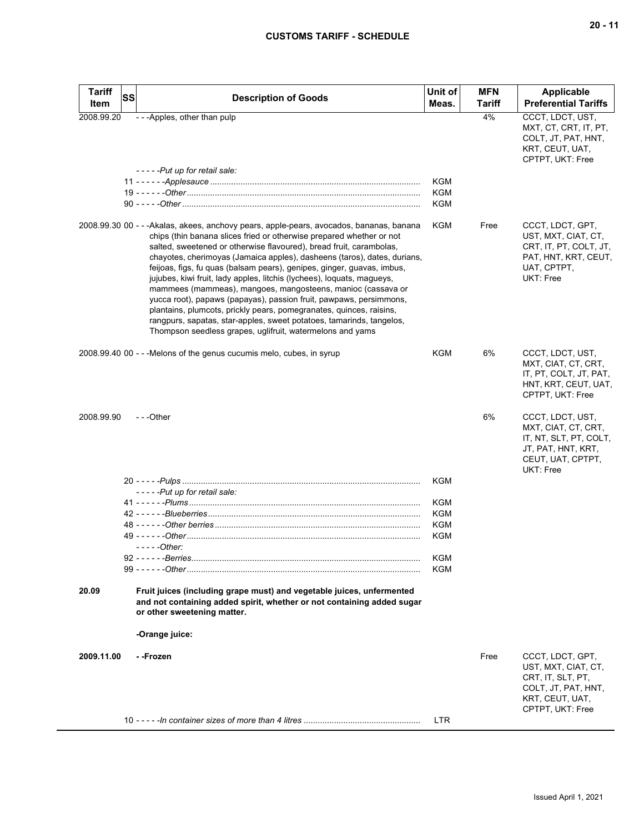| <b>SS</b><br><b>Preferential Tariffs</b><br>Meas.<br>Tariff<br>Item<br>4%<br>CCCT, LDCT, UST,<br>- - - Apples, other than pulp<br>2008.99.20<br>MXT, CT, CRT, IT, PT,<br>COLT, JT, PAT, HNT,<br>KRT, CEUT, UAT,<br>CPTPT, UKT: Free<br>-----Put up for retail sale:<br><b>KGM</b><br><b>KGM</b><br><b>KGM</b><br>2008.99.30 00 - - - Akalas, akees, anchovy pears, apple-pears, avocados, bananas, banana<br><b>KGM</b><br>Free<br>CCCT, LDCT, GPT,<br>chips (thin banana slices fried or otherwise prepared whether or not<br>UST, MXT, CIAT, CT,<br>salted, sweetened or otherwise flavoured), bread fruit, carambolas,<br>CRT, IT, PT, COLT, JT,<br>PAT, HNT, KRT, CEUT,<br>chayotes, cherimoyas (Jamaica apples), dasheens (taros), dates, durians,<br>UAT, CPTPT,<br>feijoas, figs, fu quas (balsam pears), genipes, ginger, guavas, imbus,<br>UKT: Free<br>jujubes, kiwi fruit, lady apples, litchis (lychees), loquats, magueys,<br>mammees (mammeas), mangoes, mangosteens, manioc (cassava or<br>yucca root), papaws (papayas), passion fruit, pawpaws, persimmons,<br>plantains, plumcots, prickly pears, pomegranates, quinces, raisins,<br>rangpurs, sapatas, star-apples, sweet potatoes, tamarinds, tangelos,<br>Thompson seedless grapes, uglifruit, watermelons and yams<br>2008.99.40 00 - - - Melons of the genus cucumis melo, cubes, in syrup<br><b>KGM</b><br>6%<br>CCCT, LDCT, UST,<br>MXT, CIAT, CT, CRT,<br>IT, PT, COLT, JT, PAT,<br>HNT, KRT, CEUT, UAT,<br>CPTPT, UKT: Free<br>6%<br>2008.99.90<br>---Other<br>CCCT, LDCT, UST,<br>MXT, CIAT, CT, CRT,<br>IT, NT, SLT, PT, COLT,<br>JT, PAT, HNT, KRT,<br>CEUT, UAT, CPTPT,<br>UKT: Free<br><b>KGM</b><br>-----Put up for retail sale:<br><b>KGM</b><br>KGM<br>KGM<br>KGM<br>$---Other:$<br><b>KGM</b><br>KGM<br>20.09<br>Fruit juices (including grape must) and vegetable juices, unfermented<br>and not containing added spirit, whether or not containing added sugar<br>or other sweetening matter.<br>-Orange juice:<br>2009.11.00<br>Free<br>CCCT, LDCT, GPT,<br>- -Frozen<br>UST, MXT, CIAT, CT,<br>CRT, IT, SLT, PT,<br>COLT, JT, PAT, HNT,<br>KRT, CEUT, UAT,<br>CPTPT, UKT: Free<br><b>LTR</b> | <b>Tariff</b> |                             | Unit of | <b>MFN</b> | Applicable |
|--------------------------------------------------------------------------------------------------------------------------------------------------------------------------------------------------------------------------------------------------------------------------------------------------------------------------------------------------------------------------------------------------------------------------------------------------------------------------------------------------------------------------------------------------------------------------------------------------------------------------------------------------------------------------------------------------------------------------------------------------------------------------------------------------------------------------------------------------------------------------------------------------------------------------------------------------------------------------------------------------------------------------------------------------------------------------------------------------------------------------------------------------------------------------------------------------------------------------------------------------------------------------------------------------------------------------------------------------------------------------------------------------------------------------------------------------------------------------------------------------------------------------------------------------------------------------------------------------------------------------------------------------------------------------------------------------------------------------------------------------------------------------------------------------------------------------------------------------------------------------------------------------------------------------------------------------------------------------------------------------------------------------------------------------------------------------------------------------------------------------------------------------------------------------------------|---------------|-----------------------------|---------|------------|------------|
|                                                                                                                                                                                                                                                                                                                                                                                                                                                                                                                                                                                                                                                                                                                                                                                                                                                                                                                                                                                                                                                                                                                                                                                                                                                                                                                                                                                                                                                                                                                                                                                                                                                                                                                                                                                                                                                                                                                                                                                                                                                                                                                                                                                      |               | <b>Description of Goods</b> |         |            |            |
|                                                                                                                                                                                                                                                                                                                                                                                                                                                                                                                                                                                                                                                                                                                                                                                                                                                                                                                                                                                                                                                                                                                                                                                                                                                                                                                                                                                                                                                                                                                                                                                                                                                                                                                                                                                                                                                                                                                                                                                                                                                                                                                                                                                      |               |                             |         |            |            |
|                                                                                                                                                                                                                                                                                                                                                                                                                                                                                                                                                                                                                                                                                                                                                                                                                                                                                                                                                                                                                                                                                                                                                                                                                                                                                                                                                                                                                                                                                                                                                                                                                                                                                                                                                                                                                                                                                                                                                                                                                                                                                                                                                                                      |               |                             |         |            |            |
|                                                                                                                                                                                                                                                                                                                                                                                                                                                                                                                                                                                                                                                                                                                                                                                                                                                                                                                                                                                                                                                                                                                                                                                                                                                                                                                                                                                                                                                                                                                                                                                                                                                                                                                                                                                                                                                                                                                                                                                                                                                                                                                                                                                      |               |                             |         |            |            |
|                                                                                                                                                                                                                                                                                                                                                                                                                                                                                                                                                                                                                                                                                                                                                                                                                                                                                                                                                                                                                                                                                                                                                                                                                                                                                                                                                                                                                                                                                                                                                                                                                                                                                                                                                                                                                                                                                                                                                                                                                                                                                                                                                                                      |               |                             |         |            |            |
|                                                                                                                                                                                                                                                                                                                                                                                                                                                                                                                                                                                                                                                                                                                                                                                                                                                                                                                                                                                                                                                                                                                                                                                                                                                                                                                                                                                                                                                                                                                                                                                                                                                                                                                                                                                                                                                                                                                                                                                                                                                                                                                                                                                      |               |                             |         |            |            |
|                                                                                                                                                                                                                                                                                                                                                                                                                                                                                                                                                                                                                                                                                                                                                                                                                                                                                                                                                                                                                                                                                                                                                                                                                                                                                                                                                                                                                                                                                                                                                                                                                                                                                                                                                                                                                                                                                                                                                                                                                                                                                                                                                                                      |               |                             |         |            |            |
|                                                                                                                                                                                                                                                                                                                                                                                                                                                                                                                                                                                                                                                                                                                                                                                                                                                                                                                                                                                                                                                                                                                                                                                                                                                                                                                                                                                                                                                                                                                                                                                                                                                                                                                                                                                                                                                                                                                                                                                                                                                                                                                                                                                      |               |                             |         |            |            |
|                                                                                                                                                                                                                                                                                                                                                                                                                                                                                                                                                                                                                                                                                                                                                                                                                                                                                                                                                                                                                                                                                                                                                                                                                                                                                                                                                                                                                                                                                                                                                                                                                                                                                                                                                                                                                                                                                                                                                                                                                                                                                                                                                                                      |               |                             |         |            |            |
|                                                                                                                                                                                                                                                                                                                                                                                                                                                                                                                                                                                                                                                                                                                                                                                                                                                                                                                                                                                                                                                                                                                                                                                                                                                                                                                                                                                                                                                                                                                                                                                                                                                                                                                                                                                                                                                                                                                                                                                                                                                                                                                                                                                      |               |                             |         |            |            |
|                                                                                                                                                                                                                                                                                                                                                                                                                                                                                                                                                                                                                                                                                                                                                                                                                                                                                                                                                                                                                                                                                                                                                                                                                                                                                                                                                                                                                                                                                                                                                                                                                                                                                                                                                                                                                                                                                                                                                                                                                                                                                                                                                                                      |               |                             |         |            |            |
|                                                                                                                                                                                                                                                                                                                                                                                                                                                                                                                                                                                                                                                                                                                                                                                                                                                                                                                                                                                                                                                                                                                                                                                                                                                                                                                                                                                                                                                                                                                                                                                                                                                                                                                                                                                                                                                                                                                                                                                                                                                                                                                                                                                      |               |                             |         |            |            |
|                                                                                                                                                                                                                                                                                                                                                                                                                                                                                                                                                                                                                                                                                                                                                                                                                                                                                                                                                                                                                                                                                                                                                                                                                                                                                                                                                                                                                                                                                                                                                                                                                                                                                                                                                                                                                                                                                                                                                                                                                                                                                                                                                                                      |               |                             |         |            |            |
|                                                                                                                                                                                                                                                                                                                                                                                                                                                                                                                                                                                                                                                                                                                                                                                                                                                                                                                                                                                                                                                                                                                                                                                                                                                                                                                                                                                                                                                                                                                                                                                                                                                                                                                                                                                                                                                                                                                                                                                                                                                                                                                                                                                      |               |                             |         |            |            |
|                                                                                                                                                                                                                                                                                                                                                                                                                                                                                                                                                                                                                                                                                                                                                                                                                                                                                                                                                                                                                                                                                                                                                                                                                                                                                                                                                                                                                                                                                                                                                                                                                                                                                                                                                                                                                                                                                                                                                                                                                                                                                                                                                                                      |               |                             |         |            |            |
|                                                                                                                                                                                                                                                                                                                                                                                                                                                                                                                                                                                                                                                                                                                                                                                                                                                                                                                                                                                                                                                                                                                                                                                                                                                                                                                                                                                                                                                                                                                                                                                                                                                                                                                                                                                                                                                                                                                                                                                                                                                                                                                                                                                      |               |                             |         |            |            |
|                                                                                                                                                                                                                                                                                                                                                                                                                                                                                                                                                                                                                                                                                                                                                                                                                                                                                                                                                                                                                                                                                                                                                                                                                                                                                                                                                                                                                                                                                                                                                                                                                                                                                                                                                                                                                                                                                                                                                                                                                                                                                                                                                                                      |               |                             |         |            |            |
|                                                                                                                                                                                                                                                                                                                                                                                                                                                                                                                                                                                                                                                                                                                                                                                                                                                                                                                                                                                                                                                                                                                                                                                                                                                                                                                                                                                                                                                                                                                                                                                                                                                                                                                                                                                                                                                                                                                                                                                                                                                                                                                                                                                      |               |                             |         |            |            |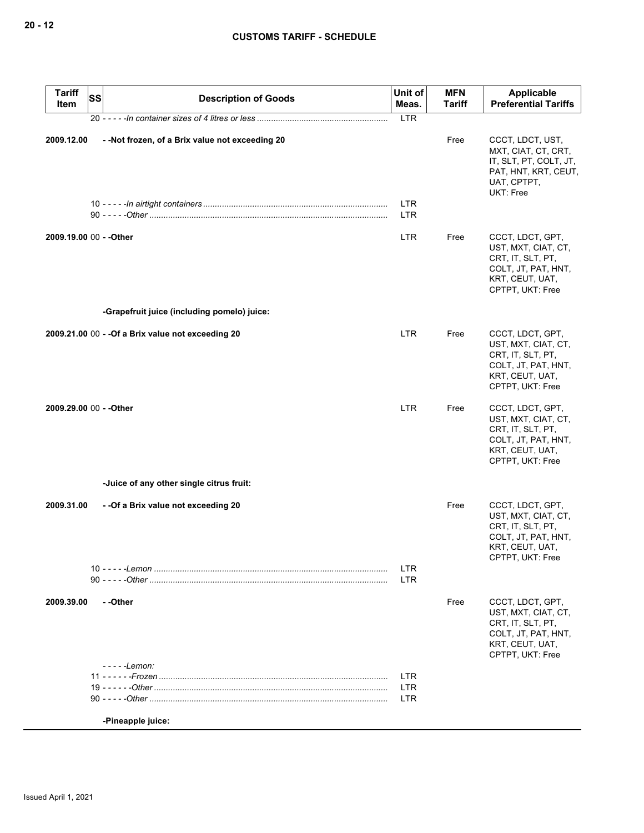| <b>Tariff</b><br>Item   | <b>SS</b> | <b>Description of Goods</b>                        | Unit of<br>Meas.         | <b>MFN</b><br><b>Tariff</b> | <b>Applicable</b><br><b>Preferential Tariffs</b>                                                                           |
|-------------------------|-----------|----------------------------------------------------|--------------------------|-----------------------------|----------------------------------------------------------------------------------------------------------------------------|
|                         |           |                                                    | <b>LTR</b>               |                             |                                                                                                                            |
| 2009.12.00              |           | - - Not frozen, of a Brix value not exceeding 20   | LTR                      | Free                        | CCCT, LDCT, UST,<br>MXT, CIAT, CT, CRT,<br>IT, SLT, PT, COLT, JT,<br>PAT, HNT, KRT, CEUT,<br>UAT, CPTPT,<br>UKT: Free      |
|                         |           |                                                    | LTR                      |                             |                                                                                                                            |
| 2009.19.00 00 - - Other |           |                                                    | LTR.                     | Free                        | CCCT, LDCT, GPT,<br>UST, MXT, CIAT, CT,<br>CRT, IT, SLT, PT,<br>COLT, JT, PAT, HNT,<br>KRT, CEUT, UAT,<br>CPTPT, UKT: Free |
|                         |           | -Grapefruit juice (including pomelo) juice:        |                          |                             |                                                                                                                            |
|                         |           | 2009.21.00 00 - - Of a Brix value not exceeding 20 | LTR                      | Free                        | CCCT, LDCT, GPT,<br>UST, MXT, CIAT, CT,<br>CRT, IT, SLT, PT,<br>COLT, JT, PAT, HNT,<br>KRT, CEUT, UAT,<br>CPTPT, UKT: Free |
| 2009.29.00 00 - - Other |           |                                                    | LTR.                     | Free                        | CCCT, LDCT, GPT,<br>UST, MXT, CIAT, CT,<br>CRT, IT, SLT, PT,<br>COLT, JT, PAT, HNT,<br>KRT, CEUT, UAT,<br>CPTPT, UKT: Free |
|                         |           | -Juice of any other single citrus fruit:           |                          |                             |                                                                                                                            |
| 2009.31.00              |           | - - Of a Brix value not exceeding 20               |                          | Free                        | CCCT, LDCT, GPT,<br>UST, MXT, CIAT, CT,<br>CRT, IT, SLT, PT,<br>COLT, JT, PAT, HNT,<br>KRT, CEUT, UAT,<br>CPTPT, UKT: Free |
|                         |           |                                                    | <b>LTR</b><br><b>LTR</b> |                             |                                                                                                                            |
| 2009.39.00              |           | --Other<br>- - - - - Lemon:                        |                          | Free                        | CCCT, LDCT, GPT,<br>UST, MXT, CIAT, CT,<br>CRT, IT, SLT, PT,<br>COLT, JT, PAT, HNT,<br>KRT, CEUT, UAT,<br>CPTPT, UKT: Free |
|                         |           |                                                    | <b>LTR</b>               |                             |                                                                                                                            |
|                         |           |                                                    | <b>LTR</b><br>LTR        |                             |                                                                                                                            |
|                         |           | -Pineapple juice:                                  |                          |                             |                                                                                                                            |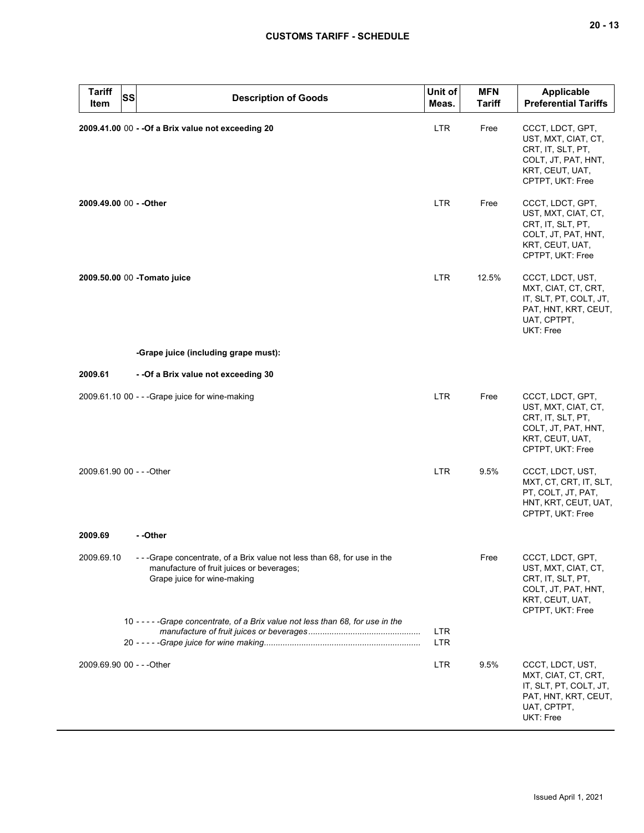# **CUSTOMS TARIFF - SCHEDULE**

| <b>Tariff</b><br>SS<br>Item | <b>Description of Goods</b>                                                                                                                           | Unit of<br>Meas.  | <b>MFN</b><br><b>Tariff</b> | <b>Applicable</b><br><b>Preferential Tariffs</b>                                                                           |
|-----------------------------|-------------------------------------------------------------------------------------------------------------------------------------------------------|-------------------|-----------------------------|----------------------------------------------------------------------------------------------------------------------------|
|                             | 2009.41.00 00 - - Of a Brix value not exceeding 20                                                                                                    | LTR               | Free                        | CCCT, LDCT, GPT,<br>UST, MXT, CIAT, CT,<br>CRT, IT, SLT, PT,<br>COLT, JT, PAT, HNT,<br>KRT, CEUT, UAT,<br>CPTPT, UKT: Free |
| 2009.49.00 00 - - Other     |                                                                                                                                                       | <b>LTR</b>        | Free                        | CCCT, LDCT, GPT,<br>UST, MXT, CIAT, CT,<br>CRT, IT, SLT, PT,<br>COLT, JT, PAT, HNT,<br>KRT, CEUT, UAT,<br>CPTPT, UKT: Free |
|                             | 2009.50.00 00 -Tomato juice                                                                                                                           | <b>LTR</b>        | 12.5%                       | CCCT, LDCT, UST,<br>MXT, CIAT, CT, CRT,<br>IT, SLT, PT, COLT, JT,<br>PAT, HNT, KRT, CEUT,<br>UAT, CPTPT,<br>UKT: Free      |
|                             | -Grape juice (including grape must):                                                                                                                  |                   |                             |                                                                                                                            |
| 2009.61                     | - - Of a Brix value not exceeding 30                                                                                                                  |                   |                             |                                                                                                                            |
|                             | 2009.61.10 00 - - - Grape juice for wine-making                                                                                                       | LTR.              | Free                        | CCCT, LDCT, GPT,<br>UST, MXT, CIAT, CT,<br>CRT, IT, SLT, PT,<br>COLT, JT, PAT, HNT,<br>KRT, CEUT, UAT,<br>CPTPT, UKT: Free |
| 2009.61.90 00 - - - Other   |                                                                                                                                                       | LTR.              | 9.5%                        | CCCT, LDCT, UST,<br>MXT, CT, CRT, IT, SLT,<br>PT, COLT, JT, PAT,<br>HNT, KRT, CEUT, UAT,<br>CPTPT, UKT: Free               |
| 2009.69                     | - -Other                                                                                                                                              |                   |                             |                                                                                                                            |
| 2009.69.10                  | - - - Grape concentrate, of a Brix value not less than 68, for use in the<br>manufacture of fruit juices or beverages;<br>Grape juice for wine-making |                   | Free                        | CCCT, LDCT, GPT,<br>UST, MXT, CIAT, CT,<br>CRT, IT, SLT, PT,<br>COLT, JT, PAT, HNT,<br>KRT, CEUT, UAT,<br>CPTPT, UKT: Free |
|                             | 10 - - - - - Grape concentrate, of a Brix value not less than 68, for use in the                                                                      | <b>LTR</b><br>LTR |                             |                                                                                                                            |
| 2009.69.90 00 - - - Other   |                                                                                                                                                       | <b>LTR</b>        | 9.5%                        | CCCT, LDCT, UST,<br>MXT, CIAT, CT, CRT,<br>IT, SLT, PT, COLT, JT,<br>PAT, HNT, KRT, CEUT,<br>UAT, CPTPT,<br>UKT: Free      |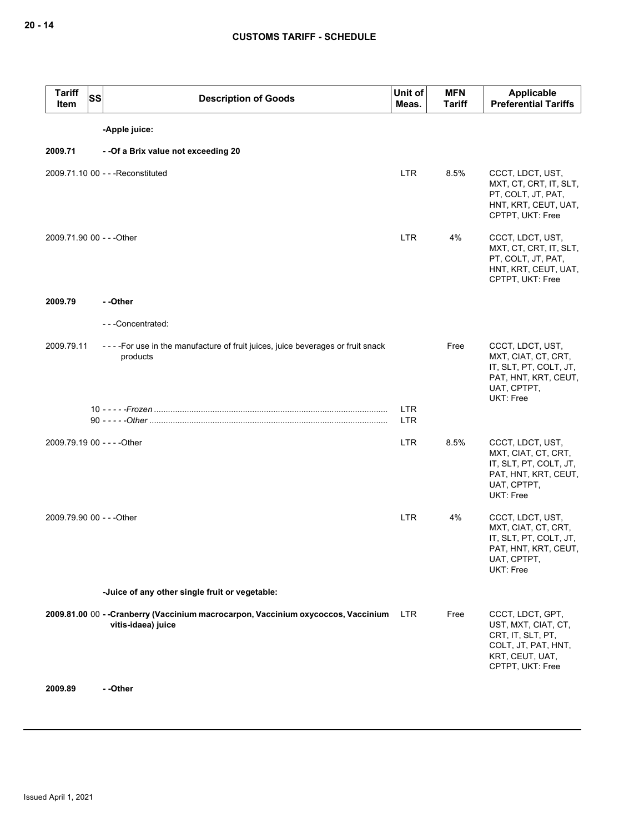| <b>Tariff</b><br>Item | <b>SS</b><br><b>Description of Goods</b>                                                                | Unit of<br>Meas.         | <b>MFN</b><br><b>Tariff</b> | Applicable<br><b>Preferential Tariffs</b>                                                                                  |
|-----------------------|---------------------------------------------------------------------------------------------------------|--------------------------|-----------------------------|----------------------------------------------------------------------------------------------------------------------------|
|                       | -Apple juice:                                                                                           |                          |                             |                                                                                                                            |
| 2009.71               | - - Of a Brix value not exceeding 20                                                                    |                          |                             |                                                                                                                            |
|                       | 2009.71.10 00 - - - Reconstituted                                                                       | <b>LTR</b>               | 8.5%                        | CCCT, LDCT, UST,<br>MXT, CT, CRT, IT, SLT,<br>PT, COLT, JT, PAT,<br>HNT, KRT, CEUT, UAT,<br>CPTPT, UKT: Free               |
|                       | 2009.71.90 00 - - - Other                                                                               | LTR                      | 4%                          | CCCT, LDCT, UST,<br>MXT, CT, CRT, IT, SLT,<br>PT, COLT, JT, PAT,<br>HNT, KRT, CEUT, UAT,<br>CPTPT, UKT: Free               |
| 2009.79               | --Other                                                                                                 |                          |                             |                                                                                                                            |
|                       | ---Concentrated:                                                                                        |                          |                             |                                                                                                                            |
| 2009.79.11            | - - - - For use in the manufacture of fruit juices, juice beverages or fruit snack<br>products          |                          | Free                        | CCCT, LDCT, UST,<br>MXT, CIAT, CT, CRT,<br>IT, SLT, PT, COLT, JT,<br>PAT, HNT, KRT, CEUT,<br>UAT, CPTPT,<br>UKT: Free      |
|                       |                                                                                                         | <b>LTR</b><br><b>LTR</b> |                             |                                                                                                                            |
|                       | 2009.79.19 00 - - - - Other                                                                             | <b>LTR</b>               | 8.5%                        | CCCT, LDCT, UST,<br>MXT, CIAT, CT, CRT,<br>IT, SLT, PT, COLT, JT,<br>PAT, HNT, KRT, CEUT,<br>UAT, CPTPT,<br>UKT: Free      |
|                       | 2009.79.90 00 - - - Other                                                                               | <b>LTR</b>               | 4%                          | CCCT, LDCT, UST,<br>MXT, CIAT, CT, CRT,<br>IT, SLT, PT, COLT, JT,<br>PAT, HNT, KRT, CEUT,<br>UAT, CPTPT,<br>UKT: Free      |
|                       | -Juice of any other single fruit or vegetable:                                                          |                          |                             |                                                                                                                            |
|                       | 2009.81.00 00 -- Cranberry (Vaccinium macrocarpon, Vaccinium oxycoccos, Vaccinium<br>vitis-idaea) juice | LTR.                     | Free                        | CCCT, LDCT, GPT,<br>UST, MXT, CIAT, CT,<br>CRT, IT, SLT, PT,<br>COLT, JT, PAT, HNT,<br>KRT, CEUT, UAT,<br>CPTPT, UKT: Free |
| 2009.89               | - -Other                                                                                                |                          |                             |                                                                                                                            |